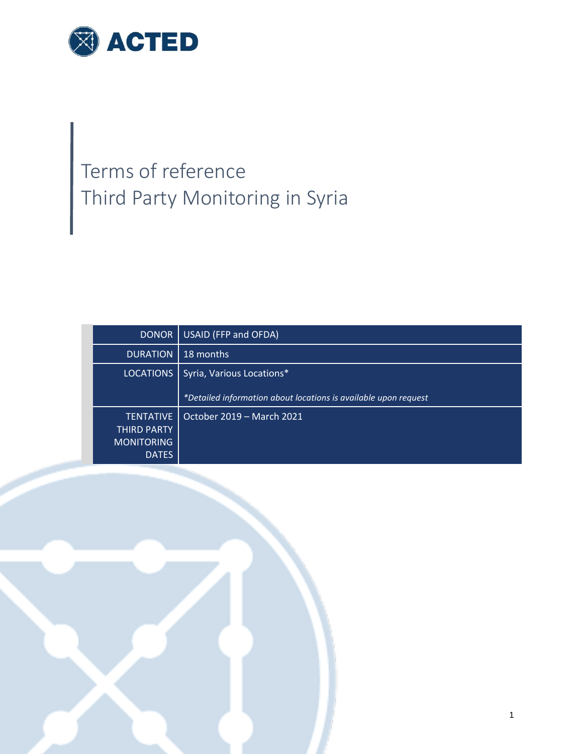

# Terms of reference Third Party Monitoring in Syria

| <b>DONOR</b>      | USAID (FFP and OFDA)                                            |
|-------------------|-----------------------------------------------------------------|
| <b>DURATION</b>   | 18 months                                                       |
| <b>LOCATIONS</b>  | Syria, Various Locations*                                       |
|                   | *Detailed information about locations is available upon request |
|                   |                                                                 |
| <b>TENTATIVE</b>  | October 2019 - March 2021                                       |
| THIRD PARTY       |                                                                 |
| <b>MONITORING</b> |                                                                 |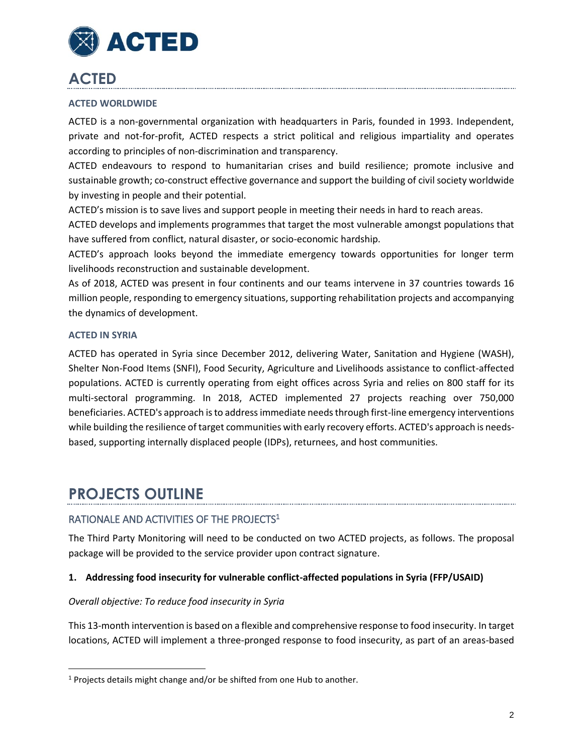

# **ACTED**

### **ACTED WORLDWIDE**

ACTED is a non-governmental organization with headquarters in Paris, founded in 1993. Independent, private and not-for-profit, ACTED respects a strict political and religious impartiality and operates according to principles of non-discrimination and transparency.

ACTED endeavours to respond to humanitarian crises and build resilience; promote inclusive and sustainable growth; co-construct effective governance and support the building of civil society worldwide by investing in people and their potential.

ACTED's mission is to save lives and support people in meeting their needs in hard to reach areas.

ACTED develops and implements programmes that target the most vulnerable amongst populations that have suffered from conflict, natural disaster, or socio-economic hardship.

ACTED's approach looks beyond the immediate emergency towards opportunities for longer term livelihoods reconstruction and sustainable development.

As of 2018, ACTED was present in four continents and our teams intervene in 37 countries towards 16 million people, responding to emergency situations, supporting rehabilitation projects and accompanying the dynamics of development.

### **ACTED IN SYRIA**

 $\overline{\phantom{a}}$ 

ACTED has operated in Syria since December 2012, delivering Water, Sanitation and Hygiene (WASH), Shelter Non-Food Items (SNFI), Food Security, Agriculture and Livelihoods assistance to conflict-affected populations. ACTED is currently operating from eight offices across Syria and relies on 800 staff for its multi-sectoral programming. In 2018, ACTED implemented 27 projects reaching over 750,000 beneficiaries. ACTED's approach is to address immediate needs through first-line emergency interventions while building the resilience of target communities with early recovery efforts. ACTED's approach is needsbased, supporting internally displaced people (IDPs), returnees, and host communities.

### **PROJECTS OUTLINE**

### RATIONALE AND ACTIVITIES OF THE PROJECTS<sup>1</sup>

The Third Party Monitoring will need to be conducted on two ACTED projects, as follows. The proposal package will be provided to the service provider upon contract signature.

### **1. Addressing food insecurity for vulnerable conflict-affected populations in Syria (FFP/USAID)**

### *Overall objective: To reduce food insecurity in Syria*

This 13-month intervention is based on a flexible and comprehensive response to food insecurity. In target locations, ACTED will implement a three-pronged response to food insecurity, as part of an areas-based

<sup>&</sup>lt;sup>1</sup> Projects details might change and/or be shifted from one Hub to another.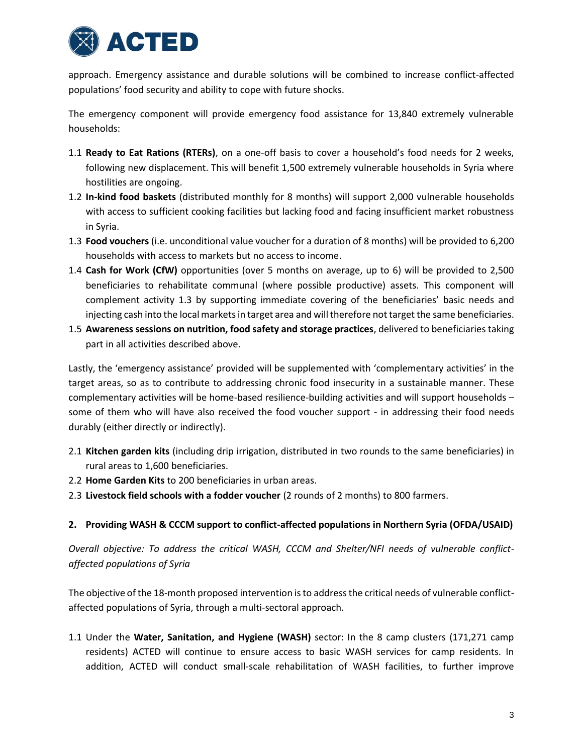

approach. Emergency assistance and durable solutions will be combined to increase conflict-affected populations' food security and ability to cope with future shocks.

The emergency component will provide emergency food assistance for 13,840 extremely vulnerable households:

- 1.1 **Ready to Eat Rations (RTERs)**, on a one-off basis to cover a household's food needs for 2 weeks, following new displacement. This will benefit 1,500 extremely vulnerable households in Syria where hostilities are ongoing.
- 1.2 **In-kind food baskets** (distributed monthly for 8 months) will support 2,000 vulnerable households with access to sufficient cooking facilities but lacking food and facing insufficient market robustness in Syria.
- 1.3 **Food vouchers** (i.e. unconditional value voucher for a duration of 8 months) will be provided to 6,200 households with access to markets but no access to income.
- 1.4 **Cash for Work (CfW)** opportunities (over 5 months on average, up to 6) will be provided to 2,500 beneficiaries to rehabilitate communal (where possible productive) assets. This component will complement activity 1.3 by supporting immediate covering of the beneficiaries' basic needs and injecting cash into the local markets in target area and will therefore not target the same beneficiaries.
- 1.5 **Awareness sessions on nutrition, food safety and storage practices**, delivered to beneficiaries taking part in all activities described above.

Lastly, the 'emergency assistance' provided will be supplemented with 'complementary activities' in the target areas, so as to contribute to addressing chronic food insecurity in a sustainable manner. These complementary activities will be home-based resilience-building activities and will support households – some of them who will have also received the food voucher support - in addressing their food needs durably (either directly or indirectly).

- 2.1 **Kitchen garden kits** (including drip irrigation, distributed in two rounds to the same beneficiaries) in rural areas to 1,600 beneficiaries.
- 2.2 **Home Garden Kits** to 200 beneficiaries in urban areas.
- 2.3 **Livestock field schools with a fodder voucher** (2 rounds of 2 months) to 800 farmers.

### **2. Providing WASH & CCCM support to conflict-affected populations in Northern Syria (OFDA/USAID)**

*Overall objective: To address the critical WASH, CCCM and Shelter/NFI needs of vulnerable conflictaffected populations of Syria*

The objective of the 18-month proposed intervention is to address the critical needs of vulnerable conflictaffected populations of Syria, through a multi-sectoral approach.

1.1 Under the **Water, Sanitation, and Hygiene (WASH)** sector: In the 8 camp clusters (171,271 camp residents) ACTED will continue to ensure access to basic WASH services for camp residents. In addition, ACTED will conduct small-scale rehabilitation of WASH facilities, to further improve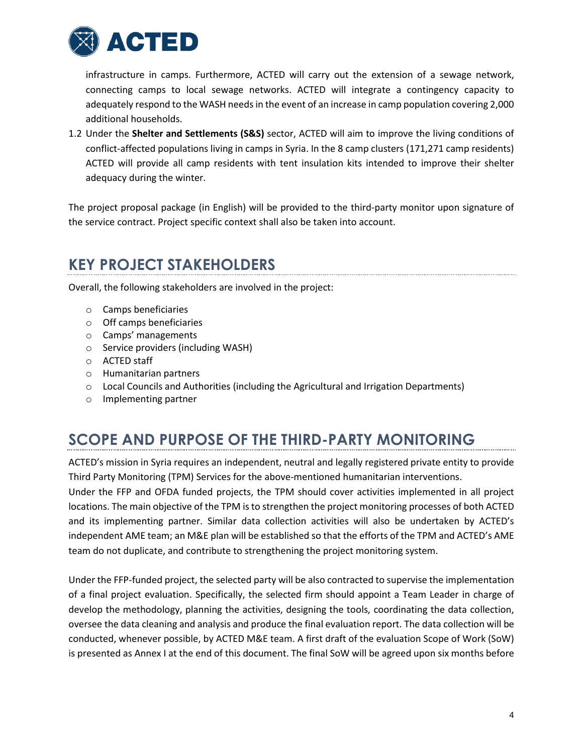

infrastructure in camps. Furthermore, ACTED will carry out the extension of a sewage network, connecting camps to local sewage networks. ACTED will integrate a contingency capacity to adequately respond to the WASH needs in the event of an increase in camp population covering 2,000 additional households.

1.2 Under the **Shelter and Settlements (S&S)** sector, ACTED will aim to improve the living conditions of conflict-affected populations living in camps in Syria. In the 8 camp clusters (171,271 camp residents) ACTED will provide all camp residents with tent insulation kits intended to improve their shelter adequacy during the winter.

The project proposal package (in English) will be provided to the third-party monitor upon signature of the service contract. Project specific context shall also be taken into account.

# **KEY PROJECT STAKEHOLDERS**

Overall, the following stakeholders are involved in the project:

- o Camps beneficiaries
- o Off camps beneficiaries
- o Camps' managements
- o Service providers (including WASH)
- o ACTED staff
- o Humanitarian partners
- $\circ$  Local Councils and Authorities (including the Agricultural and Irrigation Departments)
- o Implementing partner

# **SCOPE AND PURPOSE OF THE THIRD-PARTY MONITORING**

ACTED's mission in Syria requires an independent, neutral and legally registered private entity to provide Third Party Monitoring (TPM) Services for the above-mentioned humanitarian interventions.

Under the FFP and OFDA funded projects, the TPM should cover activities implemented in all project locations. The main objective of the TPM is to strengthen the project monitoring processes of both ACTED and its implementing partner. Similar data collection activities will also be undertaken by ACTED's independent AME team; an M&E plan will be established so that the efforts of the TPM and ACTED's AME team do not duplicate, and contribute to strengthening the project monitoring system.

Under the FFP-funded project, the selected party will be also contracted to supervise the implementation of a final project evaluation. Specifically, the selected firm should appoint a Team Leader in charge of develop the methodology, planning the activities, designing the tools, coordinating the data collection, oversee the data cleaning and analysis and produce the final evaluation report. The data collection will be conducted, whenever possible, by ACTED M&E team. A first draft of the evaluation Scope of Work (SoW) is presented as Annex I at the end of this document. The final SoW will be agreed upon six months before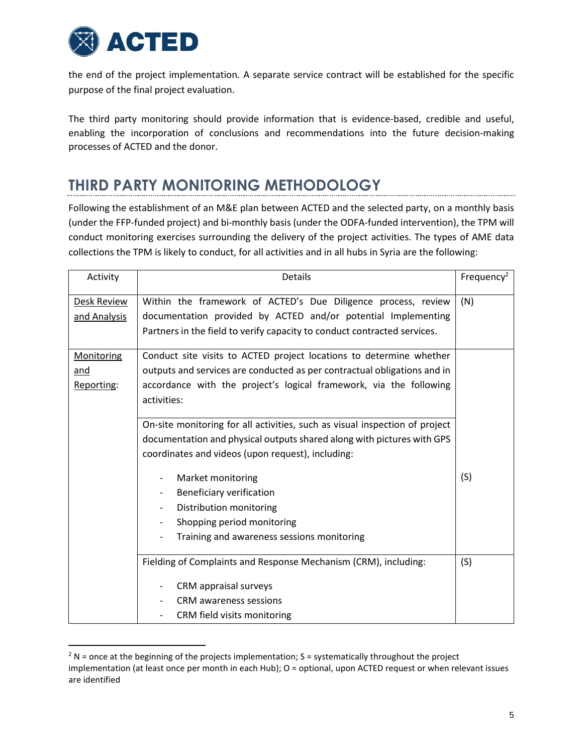

 $\overline{\phantom{a}}$ 

the end of the project implementation. A separate service contract will be established for the specific purpose of the final project evaluation.

The third party monitoring should provide information that is evidence-based, credible and useful, enabling the incorporation of conclusions and recommendations into the future decision-making processes of ACTED and the donor.

# **THIRD PARTY MONITORING METHODOLOGY**

Following the establishment of an M&E plan between ACTED and the selected party, on a monthly basis (under the FFP-funded project) and bi-monthly basis (under the ODFA-funded intervention), the TPM will conduct monitoring exercises surrounding the delivery of the project activities. The types of AME data collections the TPM is likely to conduct, for all activities and in all hubs in Syria are the following:

| Activity                               | <b>Details</b>                                                                                                                                                                                                                       | Frequency <sup>2</sup> |
|----------------------------------------|--------------------------------------------------------------------------------------------------------------------------------------------------------------------------------------------------------------------------------------|------------------------|
| <b>Desk Review</b><br>and Analysis     | Within the framework of ACTED's Due Diligence process, review<br>documentation provided by ACTED and/or potential Implementing<br>Partners in the field to verify capacity to conduct contracted services.                           | (N)                    |
| <b>Monitoring</b><br>and<br>Reporting: | Conduct site visits to ACTED project locations to determine whether<br>outputs and services are conducted as per contractual obligations and in<br>accordance with the project's logical framework, via the following<br>activities: |                        |
|                                        | On-site monitoring for all activities, such as visual inspection of project<br>documentation and physical outputs shared along with pictures with GPS<br>coordinates and videos (upon request), including:                           |                        |
|                                        | Market monitoring<br>Beneficiary verification<br>$\qquad \qquad \blacksquare$<br>Distribution monitoring<br>$\overline{\phantom{0}}$<br>Shopping period monitoring<br>Training and awareness sessions monitoring                     | (S)                    |
|                                        | Fielding of Complaints and Response Mechanism (CRM), including:<br>CRM appraisal surveys<br><b>CRM</b> awareness sessions<br>CRM field visits monitoring                                                                             | (S)                    |

 $2 N$  = once at the beginning of the projects implementation; S = systematically throughout the project implementation (at least once per month in each Hub); O = optional, upon ACTED request or when relevant issues are identified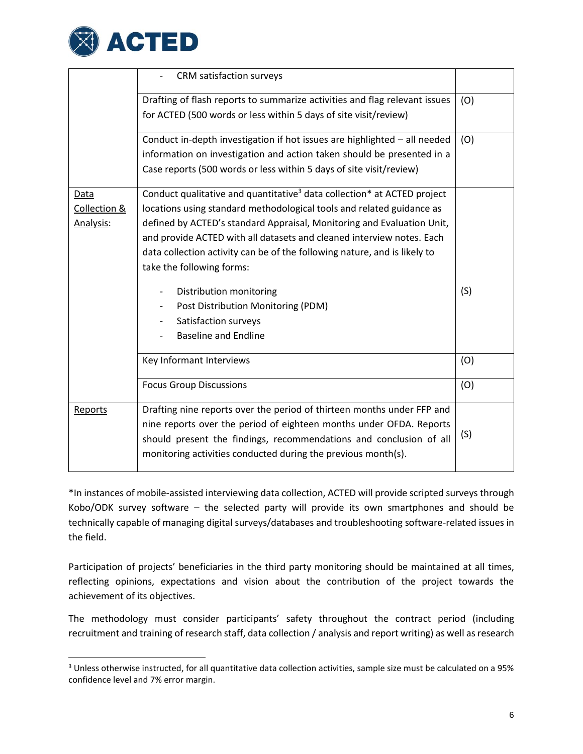

l

|              | CRM satisfaction surveys                                                                        |     |
|--------------|-------------------------------------------------------------------------------------------------|-----|
|              | Drafting of flash reports to summarize activities and flag relevant issues                      | (O) |
|              | for ACTED (500 words or less within 5 days of site visit/review)                                |     |
|              | Conduct in-depth investigation if hot issues are highlighted - all needed                       | (O) |
|              | information on investigation and action taken should be presented in a                          |     |
|              | Case reports (500 words or less within 5 days of site visit/review)                             |     |
| Data         | Conduct qualitative and quantitative <sup>3</sup> data collection <sup>*</sup> at ACTED project |     |
| Collection & | locations using standard methodological tools and related guidance as                           |     |
| Analysis:    | defined by ACTED's standard Appraisal, Monitoring and Evaluation Unit,                          |     |
|              | and provide ACTED with all datasets and cleaned interview notes. Each                           |     |
|              | data collection activity can be of the following nature, and is likely to                       |     |
|              | take the following forms:                                                                       |     |
|              | Distribution monitoring<br>$\overline{\phantom{a}}$                                             | (S) |
|              | Post Distribution Monitoring (PDM)                                                              |     |
|              | Satisfaction surveys                                                                            |     |
|              | <b>Baseline and Endline</b>                                                                     |     |
|              | Key Informant Interviews                                                                        | (O) |
|              | <b>Focus Group Discussions</b>                                                                  | (O) |
| Reports      | Drafting nine reports over the period of thirteen months under FFP and                          |     |
|              | nine reports over the period of eighteen months under OFDA. Reports                             |     |
|              | should present the findings, recommendations and conclusion of all                              | (S) |
|              | monitoring activities conducted during the previous month(s).                                   |     |

\*In instances of mobile-assisted interviewing data collection, ACTED will provide scripted surveys through Kobo/ODK survey software – the selected party will provide its own smartphones and should be technically capable of managing digital surveys/databases and troubleshooting software-related issues in the field.

Participation of projects' beneficiaries in the third party monitoring should be maintained at all times, reflecting opinions, expectations and vision about the contribution of the project towards the achievement of its objectives.

The methodology must consider participants' safety throughout the contract period (including recruitment and training of research staff, data collection / analysis and report writing) as well as research

 $3$  Unless otherwise instructed, for all quantitative data collection activities, sample size must be calculated on a 95% confidence level and 7% error margin.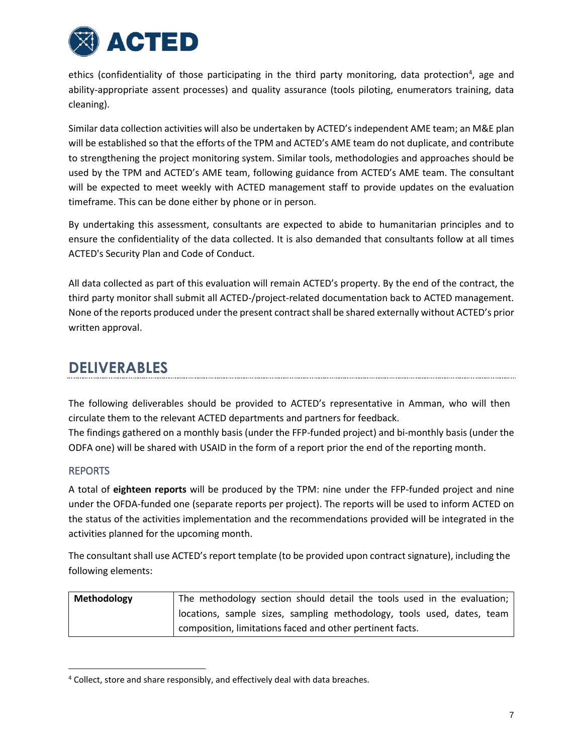

ethics (confidentiality of those participating in the third party monitoring, data protection<sup>4</sup>, age and ability-appropriate assent processes) and quality assurance (tools piloting, enumerators training, data cleaning).

Similar data collection activities will also be undertaken by ACTED's independent AME team; an M&E plan will be established so that the efforts of the TPM and ACTED's AME team do not duplicate, and contribute to strengthening the project monitoring system. Similar tools, methodologies and approaches should be used by the TPM and ACTED's AME team, following guidance from ACTED's AME team. The consultant will be expected to meet weekly with ACTED management staff to provide updates on the evaluation timeframe. This can be done either by phone or in person.

By undertaking this assessment, consultants are expected to abide to humanitarian principles and to ensure the confidentiality of the data collected. It is also demanded that consultants follow at all times ACTED's Security Plan and Code of Conduct.

All data collected as part of this evaluation will remain ACTED's property. By the end of the contract, the third party monitor shall submit all ACTED-/project-related documentation back to ACTED management. None of the reports produced under the present contract shall be shared externally without ACTED's prior written approval.

# **DELIVERABLES**

The following deliverables should be provided to ACTED's representative in Amman, who will then circulate them to the relevant ACTED departments and partners for feedback.

The findings gathered on a monthly basis (under the FFP-funded project) and bi-monthly basis (under the ODFA one) will be shared with USAID in the form of a report prior the end of the reporting month.

### REPORTS

 $\overline{\phantom{a}}$ 

A total of **eighteen reports** will be produced by the TPM: nine under the FFP-funded project and nine under the OFDA-funded one (separate reports per project). The reports will be used to inform ACTED on the status of the activities implementation and the recommendations provided will be integrated in the activities planned for the upcoming month.

The consultant shall use ACTED's report template (to be provided upon contract signature), including the following elements:

| Methodology | The methodology section should detail the tools used in the evaluation; |
|-------------|-------------------------------------------------------------------------|
|             | locations, sample sizes, sampling methodology, tools used, dates, team  |
|             | composition, limitations faced and other pertinent facts.               |

<sup>&</sup>lt;sup>4</sup> Collect, store and share responsibly, and effectively deal with data breaches.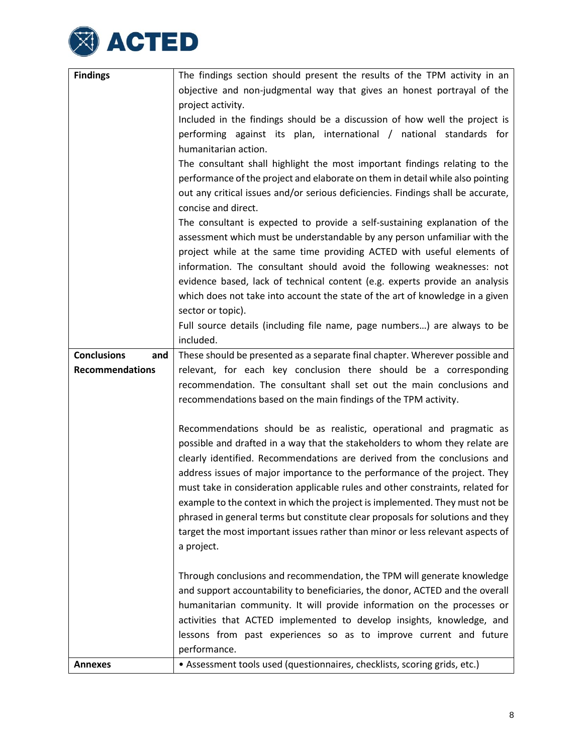

| <b>Findings</b>           | The findings section should present the results of the TPM activity in an                                                                                |
|---------------------------|----------------------------------------------------------------------------------------------------------------------------------------------------------|
|                           | objective and non-judgmental way that gives an honest portrayal of the                                                                                   |
|                           | project activity.                                                                                                                                        |
|                           | Included in the findings should be a discussion of how well the project is                                                                               |
|                           | performing against its plan, international / national standards for                                                                                      |
|                           | humanitarian action.                                                                                                                                     |
|                           | The consultant shall highlight the most important findings relating to the                                                                               |
|                           | performance of the project and elaborate on them in detail while also pointing                                                                           |
|                           | out any critical issues and/or serious deficiencies. Findings shall be accurate,                                                                         |
|                           | concise and direct.                                                                                                                                      |
|                           | The consultant is expected to provide a self-sustaining explanation of the                                                                               |
|                           | assessment which must be understandable by any person unfamiliar with the                                                                                |
|                           | project while at the same time providing ACTED with useful elements of                                                                                   |
|                           | information. The consultant should avoid the following weaknesses: not                                                                                   |
|                           | evidence based, lack of technical content (e.g. experts provide an analysis                                                                              |
|                           | which does not take into account the state of the art of knowledge in a given                                                                            |
|                           | sector or topic).                                                                                                                                        |
|                           | Full source details (including file name, page numbers) are always to be                                                                                 |
|                           | included.                                                                                                                                                |
| <b>Conclusions</b><br>and | These should be presented as a separate final chapter. Wherever possible and                                                                             |
| <b>Recommendations</b>    | relevant, for each key conclusion there should be a corresponding                                                                                        |
|                           | recommendation. The consultant shall set out the main conclusions and                                                                                    |
|                           | recommendations based on the main findings of the TPM activity.                                                                                          |
|                           |                                                                                                                                                          |
|                           | Recommendations should be as realistic, operational and pragmatic as                                                                                     |
|                           | possible and drafted in a way that the stakeholders to whom they relate are                                                                              |
|                           | clearly identified. Recommendations are derived from the conclusions and                                                                                 |
|                           | address issues of major importance to the performance of the project. They                                                                               |
|                           | must take in consideration applicable rules and other constraints, related for                                                                           |
|                           | example to the context in which the project is implemented. They must not be                                                                             |
|                           | phrased in general terms but constitute clear proposals for solutions and they                                                                           |
|                           | target the most important issues rather than minor or less relevant aspects of                                                                           |
|                           | a project.                                                                                                                                               |
|                           |                                                                                                                                                          |
|                           | Through conclusions and recommendation, the TPM will generate knowledge<br>and support accountability to beneficiaries, the donor, ACTED and the overall |
|                           |                                                                                                                                                          |
|                           | humanitarian community. It will provide information on the processes or                                                                                  |
|                           | activities that ACTED implemented to develop insights, knowledge, and                                                                                    |
|                           | lessons from past experiences so as to improve current and future<br>performance.                                                                        |
| <b>Annexes</b>            | • Assessment tools used (questionnaires, checklists, scoring grids, etc.)                                                                                |
|                           |                                                                                                                                                          |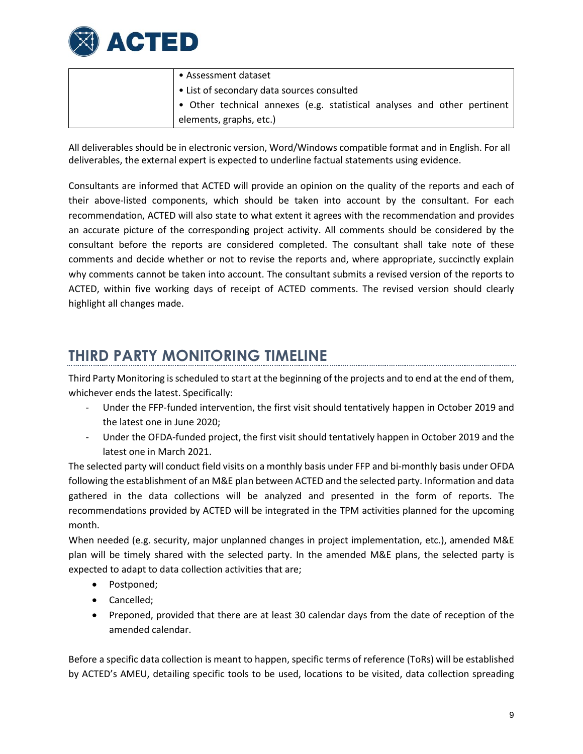

| • Assessment dataset                                                             |
|----------------------------------------------------------------------------------|
| $\vert \bullet \vert$ List of secondary data sources consulted                   |
| $\bullet$ Other technical annexes (e.g. statistical analyses and other pertinent |
| elements, graphs, etc.)                                                          |

All deliverables should be in electronic version, Word/Windows compatible format and in English. For all deliverables, the external expert is expected to underline factual statements using evidence.

Consultants are informed that ACTED will provide an opinion on the quality of the reports and each of their above-listed components, which should be taken into account by the consultant. For each recommendation, ACTED will also state to what extent it agrees with the recommendation and provides an accurate picture of the corresponding project activity. All comments should be considered by the consultant before the reports are considered completed. The consultant shall take note of these comments and decide whether or not to revise the reports and, where appropriate, succinctly explain why comments cannot be taken into account. The consultant submits a revised version of the reports to ACTED, within five working days of receipt of ACTED comments. The revised version should clearly highlight all changes made.

# **THIRD PARTY MONITORING TIMELINE**

Third Party Monitoring isscheduled to start at the beginning of the projects and to end at the end of them, whichever ends the latest. Specifically:

- Under the FFP-funded intervention, the first visit should tentatively happen in October 2019 and the latest one in June 2020;
- Under the OFDA-funded project, the first visit should tentatively happen in October 2019 and the latest one in March 2021.

The selected party will conduct field visits on a monthly basis under FFP and bi-monthly basis under OFDA following the establishment of an M&E plan between ACTED and the selected party. Information and data gathered in the data collections will be analyzed and presented in the form of reports. The recommendations provided by ACTED will be integrated in the TPM activities planned for the upcoming month.

When needed (e.g. security, major unplanned changes in project implementation, etc.), amended M&E plan will be timely shared with the selected party. In the amended M&E plans, the selected party is expected to adapt to data collection activities that are;

- Postponed;
- Cancelled;
- Preponed, provided that there are at least 30 calendar days from the date of reception of the amended calendar.

Before a specific data collection is meant to happen, specific terms of reference (ToRs) will be established by ACTED's AMEU, detailing specific tools to be used, locations to be visited, data collection spreading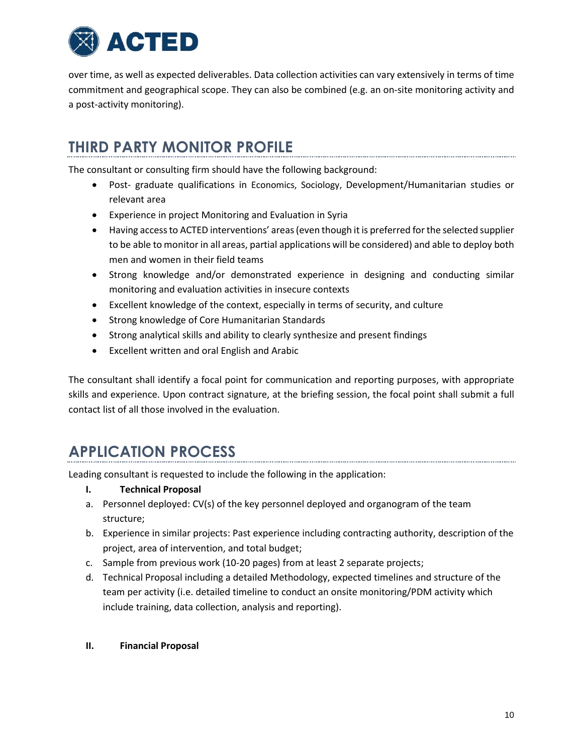

over time, as well as expected deliverables. Data collection activities can vary extensively in terms of time commitment and geographical scope. They can also be combined (e.g. an on-site monitoring activity and a post-activity monitoring).

# **THIRD PARTY MONITOR PROFILE**

The consultant or consulting firm should have the following background:

- Post- graduate qualifications in Economics, Sociology, Development/Humanitarian studies or relevant area
- Experience in project Monitoring and Evaluation in Syria
- Having accessto ACTED interventions' areas(even though it is preferred forthe selected supplier to be able to monitor in all areas, partial applications will be considered) and able to deploy both men and women in their field teams
- Strong knowledge and/or demonstrated experience in designing and conducting similar monitoring and evaluation activities in insecure contexts
- Excellent knowledge of the context, especially in terms of security, and culture
- Strong knowledge of Core Humanitarian Standards
- Strong analytical skills and ability to clearly synthesize and present findings
- Excellent written and oral English and Arabic

The consultant shall identify a focal point for communication and reporting purposes, with appropriate skills and experience. Upon contract signature, at the briefing session, the focal point shall submit a full contact list of all those involved in the evaluation.

# **APPLICATION PROCESS**

Leading consultant is requested to include the following in the application:

- **I. Technical Proposal**
- a. Personnel deployed: CV(s) of the key personnel deployed and organogram of the team structure;
- b. Experience in similar projects: Past experience including contracting authority, description of the project, area of intervention, and total budget;
- c. Sample from previous work (10-20 pages) from at least 2 separate projects;
- d. Technical Proposal including a detailed Methodology, expected timelines and structure of the team per activity (i.e. detailed timeline to conduct an onsite monitoring/PDM activity which include training, data collection, analysis and reporting).

### **II. Financial Proposal**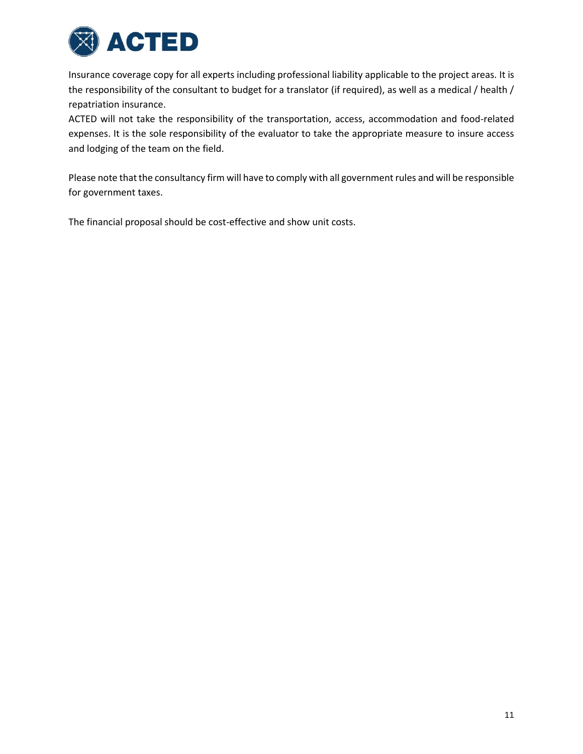

Insurance coverage copy for all experts including professional liability applicable to the project areas. It is the responsibility of the consultant to budget for a translator (if required), as well as a medical / health / repatriation insurance.

ACTED will not take the responsibility of the transportation, access, accommodation and food-related expenses. It is the sole responsibility of the evaluator to take the appropriate measure to insure access and lodging of the team on the field.

Please note that the consultancy firm will have to comply with all government rules and will be responsible for government taxes.

The financial proposal should be cost-effective and show unit costs.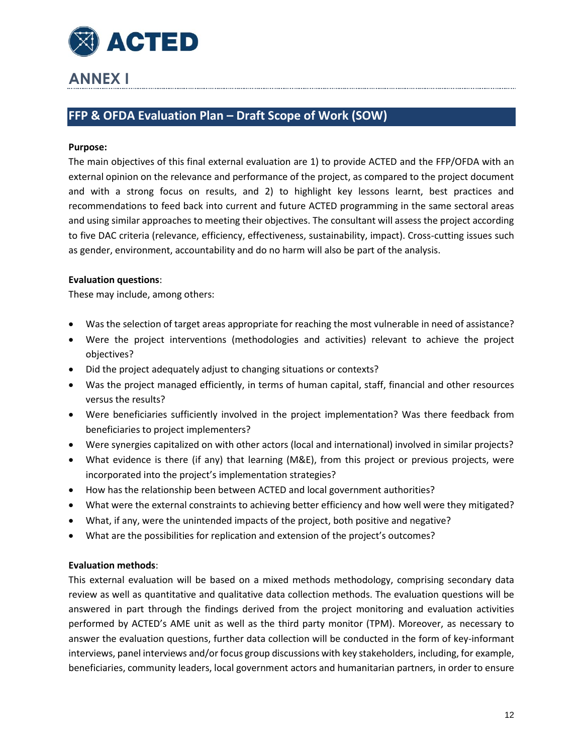

# **ANNEX I**

### **FFP & OFDA Evaluation Plan – Draft Scope of Work (SOW)**

#### **Purpose:**

The main objectives of this final external evaluation are 1) to provide ACTED and the FFP/OFDA with an external opinion on the relevance and performance of the project, as compared to the project document and with a strong focus on results, and 2) to highlight key lessons learnt, best practices and recommendations to feed back into current and future ACTED programming in the same sectoral areas and using similar approaches to meeting their objectives. The consultant will assess the project according to five DAC criteria (relevance, efficiency, effectiveness, sustainability, impact). Cross-cutting issues such as gender, environment, accountability and do no harm will also be part of the analysis.

#### **Evaluation questions**:

These may include, among others:

- Was the selection of target areas appropriate for reaching the most vulnerable in need of assistance?
- Were the project interventions (methodologies and activities) relevant to achieve the project objectives?
- Did the project adequately adjust to changing situations or contexts?
- Was the project managed efficiently, in terms of human capital, staff, financial and other resources versus the results?
- Were beneficiaries sufficiently involved in the project implementation? Was there feedback from beneficiaries to project implementers?
- Were synergies capitalized on with other actors (local and international) involved in similar projects?
- What evidence is there (if any) that learning (M&E), from this project or previous projects, were incorporated into the project's implementation strategies?
- How has the relationship been between ACTED and local government authorities?
- What were the external constraints to achieving better efficiency and how well were they mitigated?
- What, if any, were the unintended impacts of the project, both positive and negative?
- What are the possibilities for replication and extension of the project's outcomes?

### **Evaluation methods**:

This external evaluation will be based on a mixed methods methodology, comprising secondary data review as well as quantitative and qualitative data collection methods. The evaluation questions will be answered in part through the findings derived from the project monitoring and evaluation activities performed by ACTED's AME unit as well as the third party monitor (TPM). Moreover, as necessary to answer the evaluation questions, further data collection will be conducted in the form of key-informant interviews, panel interviews and/orfocus group discussions with key stakeholders, including, for example, beneficiaries, community leaders, local government actors and humanitarian partners, in order to ensure